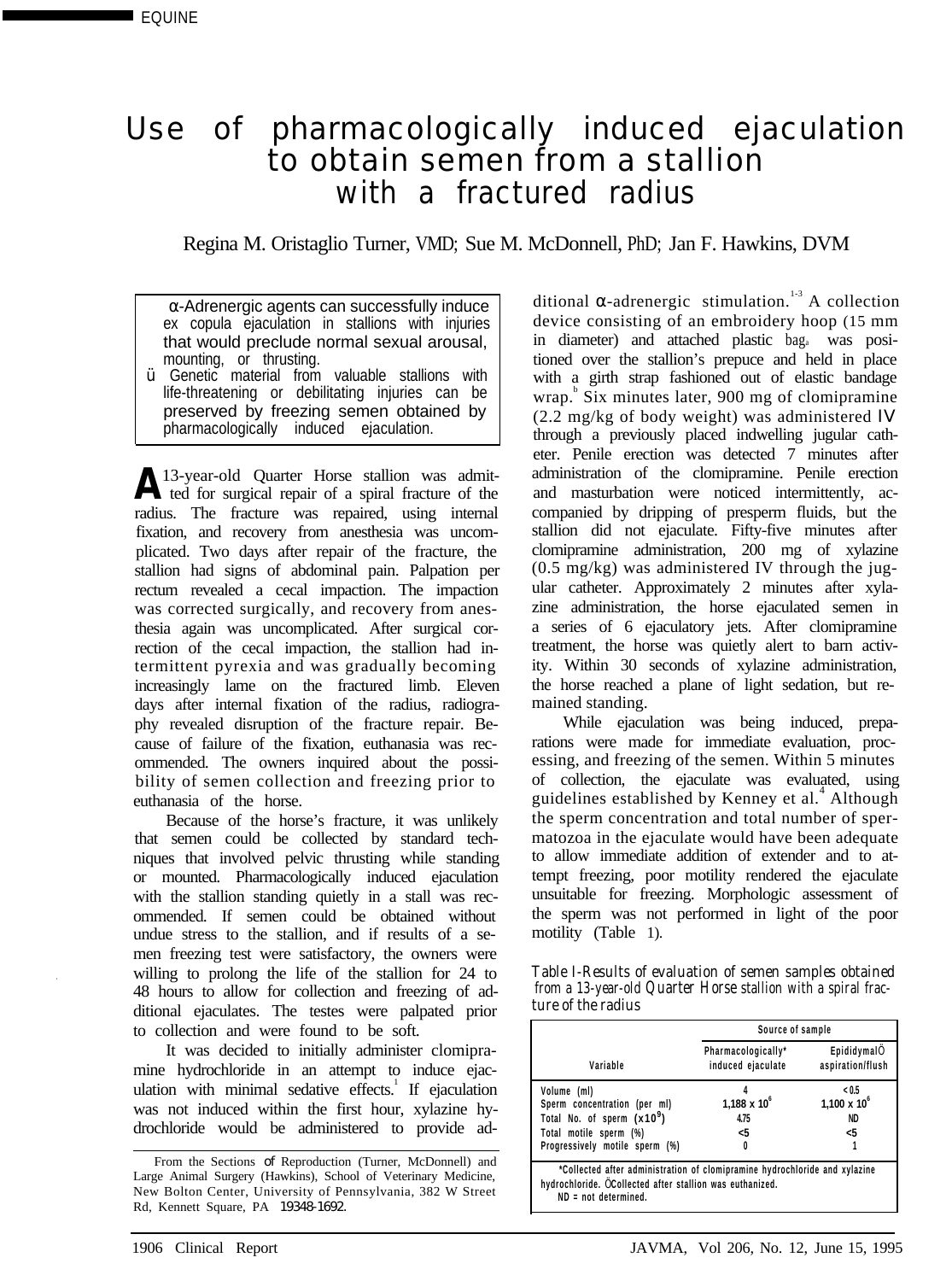## Use of pharmacologically induced ejaculation to obtain semen from a stallion with a fractured radius

Regina M. Oristaglio Turner, VMD; Sue M. McDonnell, PhD; Jan F. Hawkins, DVM

 α-Adrenergic agents can successfully induce ex copula ejaculation in stallions with injuries that would preclude normal sexual arousal, mounting, or thrusting.

Ÿ Genetic material from valuable stallions with life-threatening or debilitating injuries can be preserved by freezing semen obtained by pharmacologically induced ejaculation.

A 13-year-old Quarter Horse stallion was admit-<br>ted for surgical repair of a spiral fracture of the radius. The fracture was repaired, using internal fixation, and recovery from anesthesia was uncomplicated. Two days after repair of the fracture, the stallion had signs of abdominal pain. Palpation per rectum revealed a cecal impaction. The impaction was corrected surgically, and recovery from anesthesia again was uncomplicated. After surgical correction of the cecal impaction, the stallion had intermittent pyrexia and was gradually becoming increasingly lame on the fractured limb. Eleven days after internal fixation of the radius, radiography revealed disruption of the fracture repair. Because of failure of the fixation, euthanasia was recommended. The owners inquired about the possibility of semen collection and freezing prior to euthanasia of the horse.

Because of the horse's fracture, it was unlikely that semen could be collected by standard techniques that involved pelvic thrusting while standing or mounted. Pharmacologically induced ejaculation with the stallion standing quietly in a stall was recommended. If semen could be obtained without undue stress to the stallion, and if results of a semen freezing test were satisfactory, the owners were willing to prolong the life of the stallion for 24 to 48 hours to allow for collection and freezing of additional ejaculates. The testes were palpated prior to collection and were found to be soft.

It was decided to initially administer clomipramine hydrochloride in an attempt to induce ejaculation with minimal sedative effects.<sup>1</sup> If ejaculation was not induced within the first hour, xylazine hydrochloride would be administered to provide ad-

ditional  $\alpha$ -adrenergic stimulation.<sup>1-3</sup> A collection device consisting of an embroidery hoop (15 mm in diameter) and attached plastic baga was positioned over the stallion's prepuce and held in place with a girth strap fashioned out of elastic bandage wrap.<sup>b</sup> Six minutes later, 900 mg of clomipramine (2.2 mg/kg of body weight) was administered IV through a previously placed indwelling jugular catheter. Penile erection was detected 7 minutes after administration of the clomipramine. Penile erection and masturbation were noticed intermittently, accompanied by dripping of presperm fluids, but the stallion did not ejaculate. Fifty-five minutes after clomipramine administration, 200 mg of xylazine (0.5 mg/kg) was administered IV through the jugular catheter. Approximately 2 minutes after xylazine administration, the horse ejaculated semen in a series of 6 ejaculatory jets. After clomipramine treatment, the horse was quietly alert to barn activity. Within 30 seconds of xylazine administration, the horse reached a plane of light sedation, but remained standing.

While ejaculation was being induced, preparations were made for immediate evaluation, processing, and freezing of the semen. Within 5 minutes of collection, the ejaculate was evaluated, using guidelines established by Kenney et al.<sup>4</sup> Although the sperm concentration and total number of spermatozoa in the ejaculate would have been adequate to allow immediate addition of extender and to attempt freezing, poor motility rendered the ejaculate unsuitable for freezing. Morphologic assessment of the sperm was not performed in light of the poor motility (Table 1).

| Table I-Results of evaluation of semen samples obtained       |
|---------------------------------------------------------------|
| from a 13-year-old Quarter Horse stallion with a spiral frac- |
| ture of the radius                                            |

| Source of sample                                                                                                                      |                                |
|---------------------------------------------------------------------------------------------------------------------------------------|--------------------------------|
| Pharmacologically*<br>induced ejaculate                                                                                               | Epididymal<br>aspiration/flush |
|                                                                                                                                       | < 0.5                          |
| $1.188 \times 10^{6}$                                                                                                                 | $1.100 \times 10^{6}$          |
| 4.75                                                                                                                                  | ND.                            |
| < 5                                                                                                                                   | < 5                            |
|                                                                                                                                       |                                |
| *Collected after administration of clomipramine hydrochloride and xylazine<br>hydrochloride. Collected after stallion was euthanized. |                                |
|                                                                                                                                       |                                |

From the Sections of Reproduction (Turner, McDonnell) and Large Animal Surgery (Hawkins), School of Veterinary Medicine, New Bolton Center, University of Pennsylvania, 382 W Street Rd, Kennett Square, PA 19348-1692.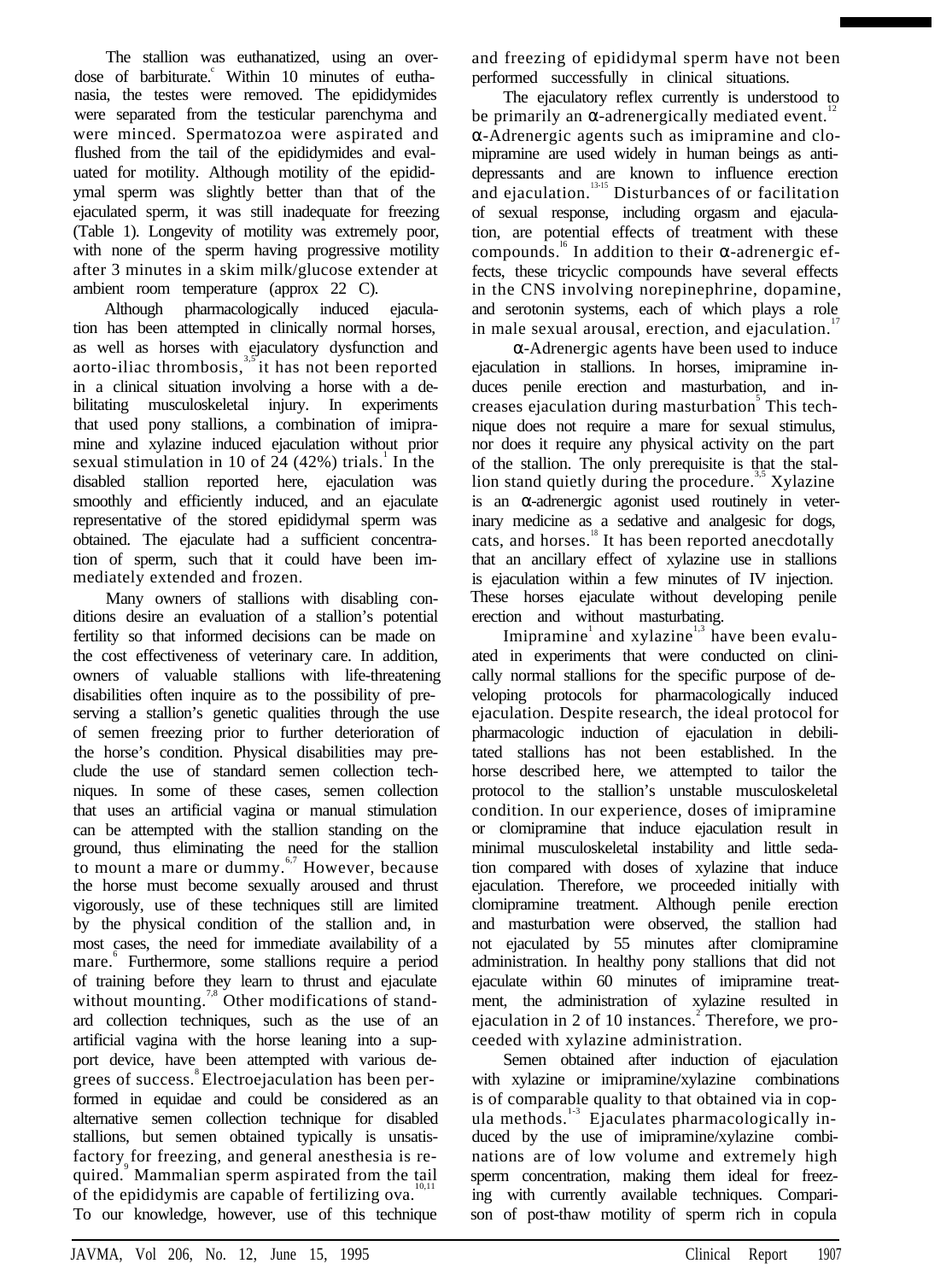The stallion was euthanatized, using an overdose of barbiturate. Within 10 minutes of euthanasia, the testes were removed. The epididymides were separated from the testicular parenchyma and were minced. Spermatozoa were aspirated and flushed from the tail of the epididymides and evaluated for motility. Although motility of the epididymal sperm was slightly better than that of the ejaculated sperm, it was still inadequate for freezing (Table 1). Longevity of motility was extremely poor, with none of the sperm having progressive motility after 3 minutes in a skim milk/glucose extender at ambient room temperature (approx 22 C).

Although pharmacologically induced ejaculation has been attempted in clinically normal horses, as well as horses with ejaculatory dysfunction and aorto-iliac thrombosis, $3.5$  it has not been reported in a clinical situation involving a horse with a debilitating musculoskeletal injury. In experiments that used pony stallions, a combination of imipramine and xylazine induced ejaculation without prior sexual stimulation in 10 of  $24(42%)$  trials.<sup>1</sup> In the disabled stallion reported here, ejaculation was smoothly and efficiently induced, and an ejaculate representative of the stored epididymal sperm was obtained. The ejaculate had a sufficient concentration of sperm, such that it could have been immediately extended and frozen.

Many owners of stallions with disabling conditions desire an evaluation of a stallion's potential fertility so that informed decisions can be made on the cost effectiveness of veterinary care. In addition, owners of valuable stallions with life-threatening disabilities often inquire as to the possibility of preserving a stallion's genetic qualities through the use of semen freezing prior to further deterioration of the horse's condition. Physical disabilities may preclude the use of standard semen collection techniques. In some of these cases, semen collection that uses an artificial vagina or manual stimulation can be attempted with the stallion standing on the ground, thus eliminating the need for the stallion to mount a mare or dummy. $\frac{6}{7}$  However, because the horse must become sexually aroused and thrust vigorously, use of these techniques still are limited by the physical condition of the stallion and, in most cases, the need for immediate availability of a mare.<sup>6</sup> Furthermore, some stallions require a period of training before they learn to thrust and ejaculate without mounting. $\frac{3}{5}$  Other modifications of standard collection techniques, such as the use of an artificial vagina with the horse leaning into a support device, have been attempted with various deers of success.<sup>8</sup> Electroejaculation has been performed in equidae and could be considered as an alternative semen collection technique for disabled stallions, but semen obtained typically is unsatisfactory for freezing, and general anesthesia is required.<sup>9</sup> Mammalian sperm aspirated from the tail of the epididymis are capable of fertilizing ova.<sup>11</sup> To our knowledge, however, use of this technique

and freezing of epididymal sperm have not been performed successfully in clinical situations.

The ejaculatory reflex currently is understood to be primarily an  $\alpha$ -adrenergically mediated event.<sup>1</sup>

-Adrenergic agents such as imipramine and clomipramine are used widely in human beings as antidepressants and are known to influence erection and ejaculation.<sup>13-15</sup> Disturbances of or facilitation of sexual response, including orgasm and ejaculation, are potential effects of treatment with these compounds.<sup>®</sup> In addition to their α-adrenergic effects, these tricyclic compounds have several effects in the CNS involving norepinephrine, dopamine, and serotonin systems, each of which plays a role in male sexual arousal, erection, and ejaculation.<sup>1</sup>

α-Adrenergic agents have been used to induce ejaculation in stallions. In horses, imipramine induces penile erection and masturbation, and increases ejaculation during masturbation<sup>5</sup> This technique does not require a mare for sexual stimulus, nor does it require any physical activity on the part of the stallion. The only prerequisite is that the stallion stand quietly during the procedure. $\mathcal{S}$  Xylazine is an -adrenergic agonist used routinely in veterinary medicine as a sedative and analgesic for dogs, cats, and horses.<sup>18</sup> It has been reported anecdotally that an ancillary effect of xylazine use in stallions is ejaculation within a few minutes of IV injection. These horses ejaculate without developing penile erection and without masturbating.

Imipramine<sup>1</sup> and xylazine<sup>1,3</sup> have been evaluated in experiments that were conducted on clinically normal stallions for the specific purpose of developing protocols for pharmacologically induced ejaculation. Despite research, the ideal protocol for pharmacologic induction of ejaculation in debilitated stallions has not been established. In the horse described here, we attempted to tailor the protocol to the stallion's unstable musculoskeletal condition. In our experience, doses of imipramine or clomipramine that induce ejaculation result in minimal musculoskeletal instability and little sedation compared with doses of xylazine that induce ejaculation. Therefore, we proceeded initially with clomipramine treatment. Although penile erection and masturbation were observed, the stallion had not ejaculated by 55 minutes after clomipramine administration. In healthy pony stallions that did not ejaculate within 60 minutes of imipramine treatment, the administration of xylazine resulted in ejaculation in 2 of 10 instances.<sup>2</sup> Therefore, we proceeded with xylazine administration.

Semen obtained after induction of ejaculation with xylazine or imipramine/xylazine combinations is of comparable quality to that obtained via in copula methods. $1.3$  Ejaculates pharmacologically induced by the use of imipramine/xylazine combinations are of low volume and extremely high sperm concentration, making them ideal for freezing with currently available techniques. Comparison of post-thaw motility of sperm rich in copula